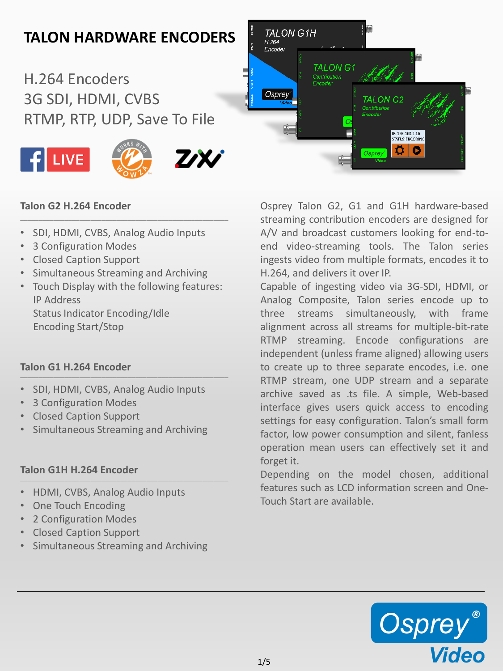# **TALON HARDWARE ENCODERS**

H.264 Encoders 3G SDI, HDMI, CVBS RTMP, RTP, UDP, Save To File



### **Talon G2 H.264 Encoder**

• SDI, HDMI, CVBS, Analog Audio Inputs

\_\_\_\_\_\_\_\_\_\_\_\_\_\_\_\_\_\_\_\_\_\_\_\_\_\_\_\_\_\_\_\_\_\_\_\_\_\_\_\_\_\_\_\_\_\_\_\_\_\_\_\_\_\_\_\_

- 3 Configuration Modes
- Closed Caption Support
- Simultaneous Streaming and Archiving
- Touch Display with the following features: IP Address Status Indicator Encoding/Idle Encoding Start/Stop

#### **Talon G1 H.264 Encoder** \_\_\_\_\_\_\_\_\_\_\_\_\_\_\_\_\_\_\_\_\_\_\_\_\_\_\_\_\_\_\_\_\_\_\_\_\_\_\_\_\_\_\_\_\_\_\_\_\_\_\_\_\_\_\_\_

- SDI, HDMI, CVBS, Analog Audio Inputs
- 3 Configuration Modes
- Closed Caption Support
- Simultaneous Streaming and Archiving

#### **Talon G1H H.264 Encoder** \_\_\_\_\_\_\_\_\_\_\_\_\_\_\_\_\_\_\_\_\_\_\_\_\_\_\_\_\_\_\_\_\_\_\_\_\_\_\_\_\_\_\_\_\_\_\_\_\_\_\_\_\_\_\_\_

- HDMI, CVBS, Analog Audio Inputs
- One Touch Encoding
- 2 Configuration Modes
- Closed Caption Support
- Simultaneous Streaming and Archiving

Osprey Talon G2, G1 and G1H hardware-based streaming contribution encoders are designed for A/V and broadcast customers looking for end-toend video-streaming tools. The Talon series ingests video from multiple formats, encodes it to H.264, and delivers it over IP.

Osprey

TALON G2

P: 192.168.1.16<br>STATUS: ENCODIN Ö. Q

**TALON G1H** 

**TALON G1** 

H.264<br>Encoder

Osprey

Capable of ingesting video via 3G-SDI, HDMI, or Analog Composite, Talon series encode up to three streams simultaneously, with frame alignment across all streams for multiple-bit-rate RTMP streaming. Encode configurations are independent (unless frame aligned) allowing users to create up to three separate encodes, i.e. one RTMP stream, one UDP stream and a separate archive saved as .ts file. A simple, Web-based interface gives users quick access to encoding settings for easy configuration. Talon's small form factor, low power consumption and silent, fanless operation mean users can effectively set it and forget it.

Depending on the model chosen, additional features such as LCD information screen and One-Touch Start are available.

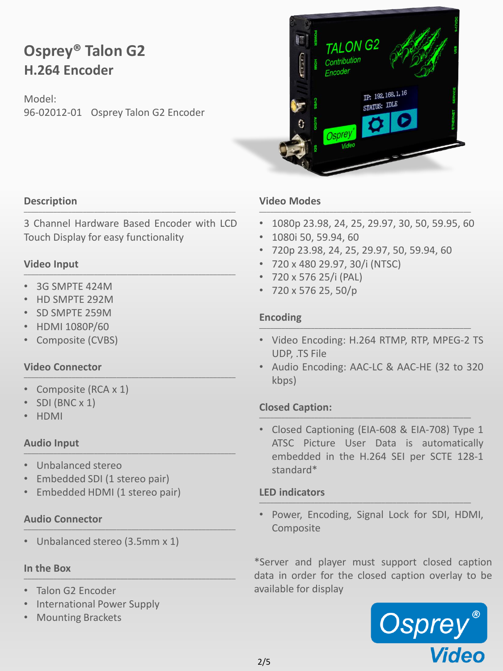## **Osprey® Talon G2 H.264 Encoder**

Model: 96-02012-01 Osprey Talon G2 Encoder



#### **Description** \_\_\_\_\_\_\_\_\_\_\_\_\_\_\_\_\_\_\_\_\_\_\_\_\_\_\_\_\_\_\_\_\_\_\_\_\_\_\_\_\_\_\_\_\_\_\_\_\_\_\_\_\_\_\_\_\_

3 Channel Hardware Based Encoder with LCD Touch Display for easy functionality

#### **Video Input** \_\_\_\_\_\_\_\_\_\_\_\_\_\_\_\_\_\_\_\_\_\_\_\_\_\_\_\_\_\_\_\_\_\_\_\_\_\_\_\_\_\_\_\_\_\_\_\_\_\_\_\_\_\_\_\_\_

- 3G SMPTE 424M
- HD SMPTE 292M
- SD SMPTE 259M
- HDMI 1080P/60
- Composite (CVBS)

#### **Video Connector** \_\_\_\_\_\_\_\_\_\_\_\_\_\_\_\_\_\_\_\_\_\_\_\_\_\_\_\_\_\_\_\_\_\_\_\_\_\_\_\_\_\_\_\_\_\_\_\_\_\_\_\_\_\_\_\_\_

- Composite (RCA x 1)
- SDI (BNC x 1)
- HDMI

#### **Audio Input** \_\_\_\_\_\_\_\_\_\_\_\_\_\_\_\_\_\_\_\_\_\_\_\_\_\_\_\_\_\_\_\_\_\_\_\_\_\_\_\_\_\_\_\_\_\_\_\_\_\_\_\_\_\_\_\_\_

- Unbalanced stereo
- Embedded SDI (1 stereo pair)
- Embedded HDMI (1 stereo pair)

#### **Audio Connector** \_\_\_\_\_\_\_\_\_\_\_\_\_\_\_\_\_\_\_\_\_\_\_\_\_\_\_\_\_\_\_\_\_\_\_\_\_\_\_\_\_\_\_\_\_\_\_\_\_\_\_\_\_\_\_\_\_

• Unbalanced stereo (3.5mm x 1)

#### **In the Box**  $\mathcal{L}_\mathcal{L}$  , and the set of the set of the set of the set of the set of the set of the set of the set of the set of the set of the set of the set of the set of the set of the set of the set of the set of the set of th

- Talon G2 Encoder
- International Power Supply
- Mounting Brackets

#### **Video Modes** \_\_\_\_\_\_\_\_\_\_\_\_\_\_\_\_\_\_\_\_\_\_\_\_\_\_\_\_\_\_\_\_\_\_\_\_\_\_\_\_\_\_\_\_\_\_\_\_\_\_\_\_\_\_\_\_\_

- 1080p 23.98, 24, 25, 29.97, 30, 50, 59.95, 60
- 1080i 50, 59.94, 60
- 720p 23.98, 24, 25, 29.97, 50, 59.94, 60
- 720 x 480 29.97, 30/i (NTSC)
- 720 x 576 25/i (PAL)
- 720 x 576 25, 50/p

#### **Encoding**  $\blacksquare$

- Video Encoding: H.264 RTMP, RTP, MPEG-2 TS UDP, .TS File
- Audio Encoding: AAC-LC & AAC-HE (32 to 320 kbps)

#### **Closed Caption:** \_\_\_\_\_\_\_\_\_\_\_\_\_\_\_\_\_\_\_\_\_\_\_\_\_\_\_\_\_\_\_\_\_\_\_\_\_\_\_\_\_\_\_\_\_\_\_\_\_\_\_\_\_\_\_\_\_

• Closed Captioning (EIA-608 & EIA-708) Type 1 ATSC Picture User Data is automatically embedded in the H.264 SEI per SCTE 128-1 standard\*

#### **LED indicators** \_\_\_\_\_\_\_\_\_\_\_\_\_\_\_\_\_\_\_\_\_\_\_\_\_\_\_\_\_\_\_\_\_\_\_\_\_\_\_\_\_\_\_\_\_\_\_\_\_\_\_\_\_\_\_\_\_

• Power, Encoding, Signal Lock for SDI, HDMI, Composite

\*Server and player must support closed caption data in order for the closed caption overlay to be available for display

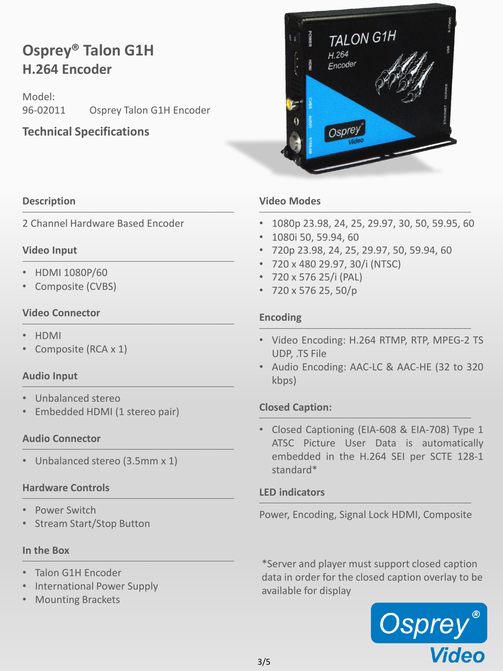## **Osprey® Talon G1H H.264 Encoder**

Model: 96-02011 Osprey Talon G1H Encoder

### **Technical Specifications**

#### **Description** \_\_\_\_\_\_\_\_\_\_\_\_\_\_\_\_\_\_\_\_\_\_\_\_\_\_\_\_\_\_\_\_\_\_\_\_\_\_\_\_\_\_\_\_\_\_\_\_\_\_\_\_\_\_\_\_\_

2 Channel Hardware Based Encoder

#### **Video Input** \_\_\_\_\_\_\_\_\_\_\_\_\_\_\_\_\_\_\_\_\_\_\_\_\_\_\_\_\_\_\_\_\_\_\_\_\_\_\_\_\_\_\_\_\_\_\_\_\_\_\_\_\_\_\_\_\_

- HDMI 1080P/60
- Composite (CVBS)

#### **Video Connector** \_\_\_\_\_\_\_\_\_\_\_\_\_\_\_\_\_\_\_\_\_\_\_\_\_\_\_\_\_\_\_\_\_\_\_\_\_\_\_\_\_\_\_\_\_\_\_\_\_\_\_\_\_\_\_\_\_

- HDMI
- Composite (RCA x 1)

#### **Audio Input** \_\_\_\_\_\_\_\_\_\_\_\_\_\_\_\_\_\_\_\_\_\_\_\_\_\_\_\_\_\_\_\_\_\_\_\_\_\_\_\_\_\_\_\_\_\_\_\_\_\_\_\_\_\_\_\_\_

- Unbalanced stereo
- Embedded HDMI (1 stereo pair)

#### **Audio Connector** \_\_\_\_\_\_\_\_\_\_\_\_\_\_\_\_\_\_\_\_\_\_\_\_\_\_\_\_\_\_\_\_\_\_\_\_\_\_\_\_\_\_\_\_\_\_\_\_\_\_\_\_\_\_\_\_\_

• Unbalanced stereo (3.5mm x 1)

#### **Hardware Controls** \_\_\_\_\_\_\_\_\_\_\_\_\_\_\_\_\_\_\_\_\_\_\_\_\_\_\_\_\_\_\_\_\_\_\_\_\_\_\_\_\_\_\_\_\_\_\_\_\_\_\_\_\_\_\_\_\_

- Power Switch
- Stream Start/Stop Button

#### **In the Box** \_\_\_\_\_\_\_\_\_\_\_\_\_\_\_\_\_\_\_\_\_\_\_\_\_\_\_\_\_\_\_\_\_\_\_\_\_\_\_\_\_\_\_\_\_\_\_\_\_\_\_\_\_\_\_\_\_

- Talon G1H Encoder
- International Power Supply
- Mounting Brackets



• 1080p 23.98, 24, 25, 29.97, 30, 50, 59.95, 60

TALON G1H

 $H.264$ Fncoder

Ospre.

- 1080i 50, 59.94, 60
- 720p 23.98, 24, 25, 29.97, 50, 59.94, 60
- 720 x 480 29.97, 30/i (NTSC)
- 720 x 576 25/i (PAL)
- 720 x 576 25, 50/p

#### **Encoding**  $\blacksquare$

- Video Encoding: H.264 RTMP, RTP, MPEG-2 TS UDP, .TS File
- Audio Encoding: AAC-LC & AAC-HE (32 to 320 kbps)

#### **Closed Caption:** \_\_\_\_\_\_\_\_\_\_\_\_\_\_\_\_\_\_\_\_\_\_\_\_\_\_\_\_\_\_\_\_\_\_\_\_\_\_\_\_\_\_\_\_\_\_\_\_\_\_\_\_\_\_\_\_\_

• Closed Captioning (EIA-608 & EIA-708) Type 1 ATSC Picture User Data is automatically embedded in the H.264 SEI per SCTE 128-1 standard\*

#### **LED indicators** \_\_\_\_\_\_\_\_\_\_\_\_\_\_\_\_\_\_\_\_\_\_\_\_\_\_\_\_\_\_\_\_\_\_\_\_\_\_\_\_\_\_\_\_\_\_\_\_\_\_\_\_\_\_\_\_\_

Power, Encoding, Signal Lock HDMI, Composite

\*Server and player must support closed caption data in order for the closed caption overlay to be available for display

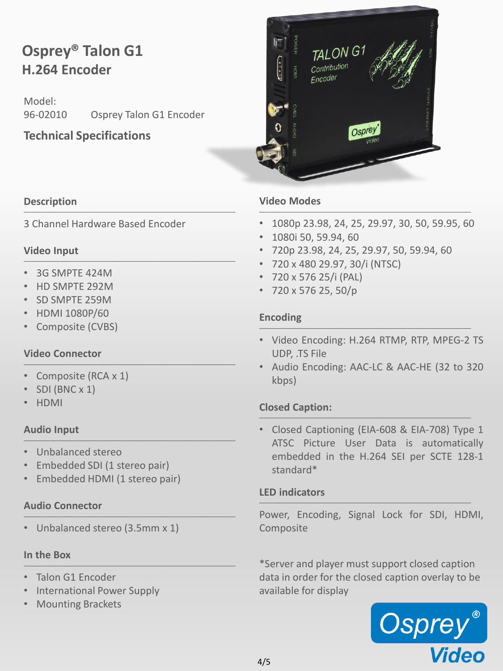## **Osprey® Talon G1 H.264 Encoder**

Model: 96-02010 Osprey Talon G1 Encoder

### **Technical Specifications**

#### **Description** \_\_\_\_\_\_\_\_\_\_\_\_\_\_\_\_\_\_\_\_\_\_\_\_\_\_\_\_\_\_\_\_\_\_\_\_\_\_\_\_\_\_\_\_\_\_\_\_\_\_\_\_\_\_\_\_\_

3 Channel Hardware Based Encoder

#### **Video Input** \_\_\_\_\_\_\_\_\_\_\_\_\_\_\_\_\_\_\_\_\_\_\_\_\_\_\_\_\_\_\_\_\_\_\_\_\_\_\_\_\_\_\_\_\_\_\_\_\_\_\_\_\_\_\_\_\_

- 3G SMPTE 424M
- HD SMPTE 292M
- SD SMPTE 259M
- HDMI 1080P/60
- Composite (CVBS)

#### **Video Connector** \_\_\_\_\_\_\_\_\_\_\_\_\_\_\_\_\_\_\_\_\_\_\_\_\_\_\_\_\_\_\_\_\_\_\_\_\_\_\_\_\_\_\_\_\_\_\_\_\_\_\_\_\_\_\_\_\_

- Composite (RCA x 1)
- SDI (BNC x 1)
- HDMI

#### **Audio Input** \_\_\_\_\_\_\_\_\_\_\_\_\_\_\_\_\_\_\_\_\_\_\_\_\_\_\_\_\_\_\_\_\_\_\_\_\_\_\_\_\_\_\_\_\_\_\_\_\_\_\_\_\_\_\_\_\_

- Unbalanced stereo
- Embedded SDI (1 stereo pair)
- Embedded HDMI (1 stereo pair)

#### **Audio Connector** \_\_\_\_\_\_\_\_\_\_\_\_\_\_\_\_\_\_\_\_\_\_\_\_\_\_\_\_\_\_\_\_\_\_\_\_\_\_\_\_\_\_\_\_\_\_\_\_\_\_\_\_\_\_\_\_\_

• Unbalanced stereo (3.5mm x 1)

#### **In the Box** \_\_\_\_\_\_\_\_\_\_\_\_\_\_\_\_\_\_\_\_\_\_\_\_\_\_\_\_\_\_\_\_\_\_\_\_\_\_\_\_\_\_\_\_\_\_\_\_\_\_\_\_\_\_\_\_\_

- Talon G1 Encoder
- International Power Supply
- Mounting Brackets



#### **Video Modes** \_\_\_\_\_\_\_\_\_\_\_\_\_\_\_\_\_\_\_\_\_\_\_\_\_\_\_\_\_\_\_\_\_\_\_\_\_\_\_\_\_\_\_\_\_\_\_\_\_\_\_\_\_\_\_\_\_

- 1080p 23.98, 24, 25, 29.97, 30, 50, 59.95, 60
- 1080i 50, 59.94, 60
- 720p 23.98, 24, 25, 29.97, 50, 59.94, 60
- 720 x 480 29.97, 30/i (NTSC)
- 720 x 576 25/i (PAL)
- 720 x 576 25, 50/p

#### **Encoding**  $\blacksquare$

- Video Encoding: H.264 RTMP, RTP, MPEG-2 TS UDP, .TS File
- Audio Encoding: AAC-LC & AAC-HE (32 to 320 kbps)

#### **Closed Caption:** \_\_\_\_\_\_\_\_\_\_\_\_\_\_\_\_\_\_\_\_\_\_\_\_\_\_\_\_\_\_\_\_\_\_\_\_\_\_\_\_\_\_\_\_\_\_\_\_\_\_\_\_\_\_\_\_\_

• Closed Captioning (EIA-608 & EIA-708) Type 1 ATSC Picture User Data is automatically embedded in the H.264 SEI per SCTE 128-1 standard\*

#### **LED indicators** \_\_\_\_\_\_\_\_\_\_\_\_\_\_\_\_\_\_\_\_\_\_\_\_\_\_\_\_\_\_\_\_\_\_\_\_\_\_\_\_\_\_\_\_\_\_\_\_\_\_\_\_\_\_\_\_\_

Power, Encoding, Signal Lock for SDI, HDMI, Composite

\*Server and player must support closed caption data in order for the closed caption overlay to be available for display